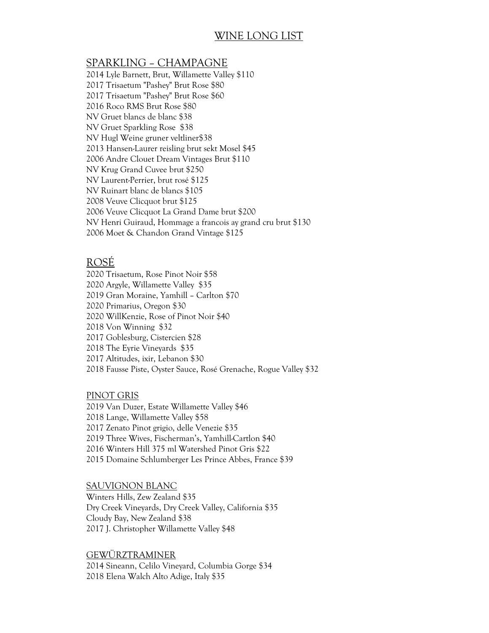# WINE LONG LIST

# SPARKLING – CHAMPAGNE

2014 Lyle Barnett, Brut, Willamette Valley \$110 2017 Trisaetum "Pashey" Brut Rose \$80 2017 Trisaetum "Pashey" Brut Rose \$60 2016 Roco RMS Brut Rose \$80 NV Gruet blancs de blanc \$38 NV Gruet Sparkling Rose \$38 NV Hugl Weine gruner veltliner\$38 2013 Hansen-Laurer reisling brut sekt Mosel \$45 2006 Andre Clouet Dream Vintages Brut \$110 NV Krug Grand Cuvee brut \$250 NV Laurent-Perrier, brut rosé \$125 NV Ruinart blanc de blancs \$105 2008 Veuve Clicquot brut \$125 2006 Veuve Clicquot La Grand Dame brut \$200 NV Henri Guiraud, Hommage a francois ay grand cru brut \$130 2006 Moet & Chandon Grand Vintage \$125

# ROSÉ

2020 Trisaetum, Rose Pinot Noir \$58 2020 Argyle, Willamette Valley \$35 2019 Gran Moraine, Yamhill – Carlton \$70 2020 Primarius, Oregon \$30 2020 WillKenzie, Rose of Pinot Noir \$40 2018 Von Winning \$32 2017 Goblesburg, Cistercien \$28 2018 The Eyrie Vineyards \$35 2017 Altitudes, ixir, Lebanon \$30 2018 Fausse Piste, Oyster Sauce, Rosé Grenache, Rogue Valley \$32

# PINOT GRIS

2019 Van Duzer, Estate Willamette Valley \$46 2018 Lange, Willamette Valley \$58 2017 Zenato Pinot grigio, delle Venezie \$35 2019 Three Wives, Fischerman's, Yamhill-Cartlon \$40 2016 Winters Hill 375 ml Watershed Pinot Gris \$22 2015 Domaine Schlumberger Les Prince Abbes, France \$39

### SAUVIGNON BLANC

Winters Hills, Zew Zealand \$35 Dry Creek Vineyards, Dry Creek Valley, California \$35 Cloudy Bay, New Zealand \$38 2017 J. Christopher Willamette Valley \$48

GEWÜRZTRAMINER 2014 Sineann, Celilo Vineyard, Columbia Gorge \$34 2018 Elena Walch Alto Adige, Italy \$35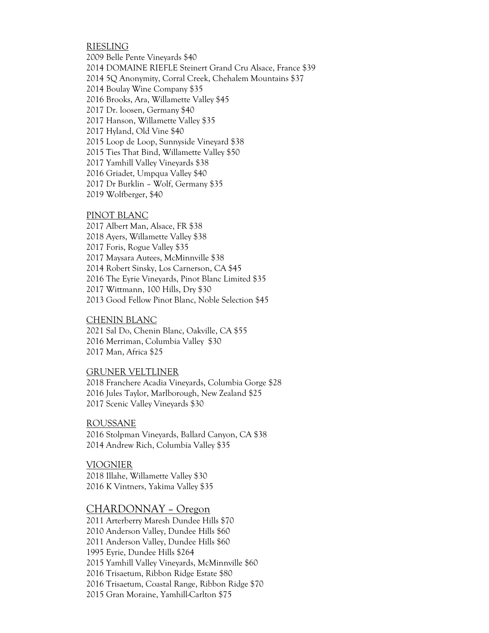### RIESLING

2009 Belle Pente Vineyards \$40 2014 DOMAINE RIEFLE Steinert Grand Cru Alsace, France \$39 2014 5Q Anonymity, Corral Creek, Chehalem Mountains \$37 2014 Boulay Wine Company \$35 2016 Brooks, Ara, Willamette Valley \$45 2017 Dr. loosen, Germany \$40 2017 Hanson, Willamette Valley \$35 2017 Hyland, Old Vine \$40 2015 Loop de Loop, Sunnyside Vineyard \$38 2015 Ties That Bind, Willamette Valley \$50 2017 Yamhill Valley Vineyards \$38 2016 Griadet, Umpqua Valley \$40 2017 Dr Burklin – Wolf, Germany \$35 2019 Wolfberger, \$40

#### PINOT BLANC

2017 Albert Man, Alsace, FR \$38 2018 Ayers, Willamette Valley \$38 2017 Foris, Rogue Valley \$35 2017 Maysara Autees, McMinnville \$38 2014 Robert Sinsky, Los Carnerson, CA \$45 2016 The Eyrie Vineyards, Pinot Blanc Limited \$35 2017 Wittmann, 100 Hills, Dry \$30 2013 Good Fellow Pinot Blanc, Noble Selection \$45

#### CHENIN BLANC

2021 Sal Do, Chenin Blanc, Oakville, CA \$55 2016 Merriman, Columbia Valley \$30 2017 Man, Africa \$25

#### GRUNER VELTLINER

2018 Franchere Acadia Vineyards, Columbia Gorge \$28 2016 Jules Taylor, Marlborough, New Zealand \$25 2017 Scenic Valley Vineyards \$30

ROUSSANE 2016 Stolpman Vineyards, Ballard Canyon, CA \$38 2014 Andrew Rich, Columbia Valley \$35

VIOGNIER 2018 Illahe, Willamette Valley \$30 2016 K Vintners, Yakima Valley \$35

### CHARDONNAY – Oregon

2011 Arterberry Maresh Dundee Hills \$70 2010 Anderson Valley, Dundee Hills \$60 2011 Anderson Valley, Dundee Hills \$60 1995 Eyrie, Dundee Hills \$264 2015 Yamhill Valley Vineyards, McMinnville \$60 2016 Trisaetum, Ribbon Ridge Estate \$80 2016 Trisaetum, Coastal Range, Ribbon Ridge \$70 2015 Gran Moraine, Yamhill-Carlton \$75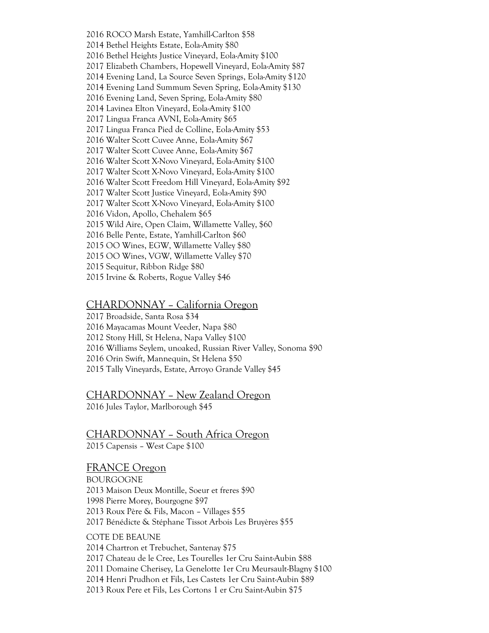2016 ROCO Marsh Estate, Yamhill-Carlton \$58 2014 Bethel Heights Estate, Eola-Amity \$80 2016 Bethel Heights Justice Vineyard, Eola-Amity \$100 2017 Elizabeth Chambers, Hopewell Vineyard, Eola-Amity \$87 2014 Evening Land, La Source Seven Springs, Eola-Amity \$120 2014 Evening Land Summum Seven Spring, Eola-Amity \$130 2016 Evening Land, Seven Spring, Eola-Amity \$80 2014 Lavinea Elton Vineyard, Eola-Amity \$100 2017 Lingua Franca AVNI, Eola-Amity \$65 2017 Lingua Franca Pied de Colline, Eola-Amity \$53 2016 Walter Scott Cuvee Anne, Eola-Amity \$67 2017 Walter Scott Cuvee Anne, Eola-Amity \$67 2016 Walter Scott X-Novo Vineyard, Eola-Amity \$100 2017 Walter Scott X-Novo Vineyard, Eola-Amity \$100 2016 Walter Scott Freedom Hill Vineyard, Eola-Amity \$92 2017 Walter Scott Justice Vineyard, Eola-Amity \$90 2017 Walter Scott X-Novo Vineyard, Eola-Amity \$100 2016 Vidon, Apollo, Chehalem \$65 2015 Wild Aire, Open Claim, Willamette Valley, \$60 2016 Belle Pente, Estate, Yamhill-Carlton \$60 2015 OO Wines, EGW, Willamette Valley \$80 2015 OO Wines, VGW, Willamette Valley \$70 2015 Sequitur, Ribbon Ridge \$80 2015 Irvine & Roberts, Rogue Valley \$46

# CHARDONNAY – California Oregon

2017 Broadside, Santa Rosa \$34 2016 Mayacamas Mount Veeder, Napa \$80 2012 Stony Hill, St Helena, Napa Valley \$100 2016 Williams Seylem, unoaked, Russian River Valley, Sonoma \$90 2016 Orin Swift, Mannequin, St Helena \$50 2015 Tally Vineyards, Estate, Arroyo Grande Valley \$45

### CHARDONNAY – New Zealand Oregon

2016 Jules Taylor, Marlborough \$45

# CHARDONNAY – South Africa Oregon

2015 Capensis – West Cape \$100

## FRANCE Oregon

BOURGOGNE 2013 Maison Deux Montille, Soeur et freres \$90 1998 Pierre Morey, Bourgogne \$97 2013 Roux Père & Fils, Macon – Villages \$55 2017 Bénédicte & Stéphane Tissot Arbois Les Bruyères \$55

# COTE DE BEAUNE

2014 Chartron et Trebuchet, Santenay \$75

2017 Chateau de le Cree, Les Tourelles 1er Cru Saint-Aubin \$88

2011 Domaine Cherisey, La Genelotte 1er Cru Meursault-Blagny \$100

2014 Henri Prudhon et Fils, Les Castets 1er Cru Saint-Aubin \$89

2013 Roux Pere et Fils, Les Cortons 1 er Cru Saint-Aubin \$75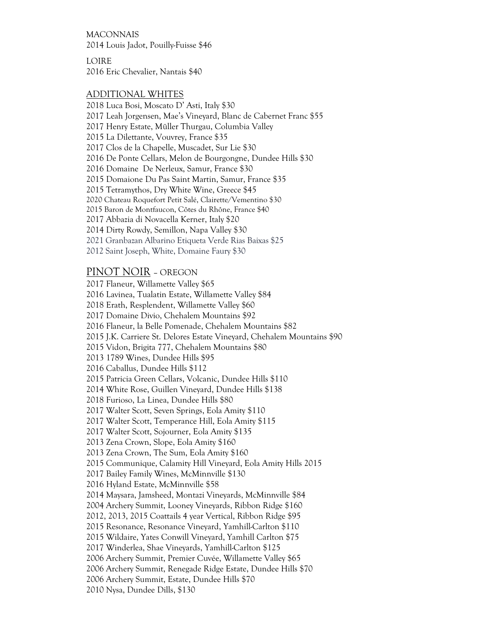MACONNAIS 2014 Louis Jadot, Pouilly-Fuisse \$46

LOIRE 2016 Eric Chevalier, Nantais \$40

### ADDITIONAL WHITES

2018 Luca Bosi, Moscato D' Asti, Italy \$30 2017 Leah Jorgensen, Mae's Vineyard, Blanc de Cabernet Franc \$55 2017 Henry Estate, Müller Thurgau, Columbia Valley 2015 La Dilettante, Vouvrey, France \$35 2017 Clos de la Chapelle, Muscadet, Sur Lie \$30 2016 De Ponte Cellars, Melon de Bourgongne, Dundee Hills \$30 2016 Domaine De Nerleux, Samur, France \$30 2015 Domaione Du Pas Saint Martin, Samur, France \$35 2015 Tetramythos, Dry White Wine, Greece \$45 2020 Chateau Roquefort Petit Salé, Clairette/Vementino \$30 2015 Baron de Montfaucon, Côtes du Rhône, France \$40 2017 Abbazia di Novacella Kerner, Italy \$20 2014 Dirty Rowdy, Semillon, Napa Valley \$30 2021 Granbazan Albarino Etiqueta Verde Rias Baixas \$25 2012 Saint Joseph, White, Domaine Faury \$30

# PINOT NOIR – OREGON

2017 Flaneur, Willamette Valley \$65 2016 Lavinea, Tualatin Estate, Willamette Valley \$84 2018 Erath, Resplendent, Willamette Valley \$60 2017 Domaine Divio, Chehalem Mountains \$92 2016 Flaneur, la Belle Pomenade, Chehalem Mountains \$82 2015 J.K. Carriere St. Delores Estate Vineyard, Chehalem Mountains \$90 2015 Vidon, Brigita 777, Chehalem Mountains \$80 2013 1789 Wines, Dundee Hills \$95 2016 Caballus, Dundee Hills \$112 2015 Patricia Green Cellars, Volcanic, Dundee Hills \$110 2014 White Rose, Guillen Vineyard, Dundee Hills \$138 2018 Furioso, La Linea, Dundee Hills \$80 2017 Walter Scott, Seven Springs, Eola Amity \$110 2017 Walter Scott, Temperance Hill, Eola Amity \$115 2017 Walter Scott, Sojourner, Eola Amity \$135 2013 Zena Crown, Slope, Eola Amity \$160 2013 Zena Crown, The Sum, Eola Amity \$160 2015 Communique, Calamity Hill Vineyard, Eola Amity Hills 2015 2017 Bailey Family Wines, McMinnville \$130 2016 Hyland Estate, McMinnville \$58 2014 Maysara, Jamsheed, Montazi Vineyards, McMinnville \$84 2004 Archery Summit, Looney Vineyards, Ribbon Ridge \$160 2012, 2013, 2015 Coattails 4 year Vertical, Ribbon Ridge \$95 2015 Resonance, Resonance Vineyard, Yamhill-Carlton \$110 2015 Wildaire, Yates Conwill Vineyard, Yamhill Carlton \$75 2017 Winderlea, Shae Vineyards, Yamhill-Carlton \$125 2006 Archery Summit, Premier Cuvée, Willamette Valley \$65 2006 Archery Summit, Renegade Ridge Estate, Dundee Hills \$70 2006 Archery Summit, Estate, Dundee Hills \$70 2010 Nysa, Dundee Dills, \$130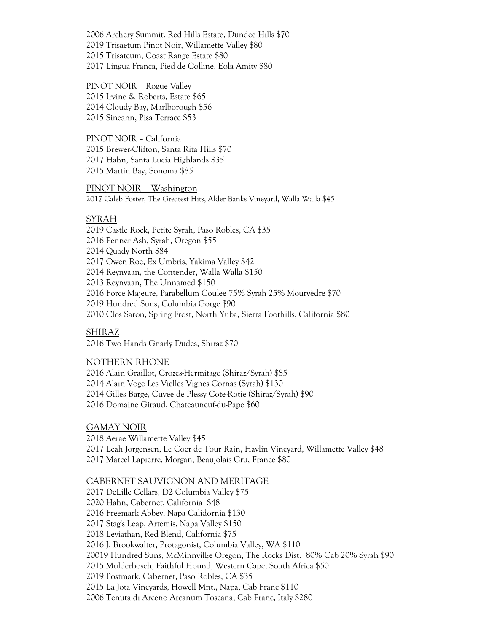2006 Archery Summit. Red Hills Estate, Dundee Hills \$70 2019 Trisaetum Pinot Noir, Willamette Valley \$80 2015 Trisateum, Coast Range Estate \$80 2017 Lingua Franca, Pied de Colline, Eola Amity \$80

#### PINOT NOIR – Rogue Valley

2015 Irvine & Roberts, Estate \$65 2014 Cloudy Bay, Marlborough \$56 2015 Sineann, Pisa Terrace \$53

PINOT NOIR – California 2015 Brewer-Clifton, Santa Rita Hills \$70 2017 Hahn, Santa Lucia Highlands \$35

2015 Martin Bay, Sonoma \$85

PINOT NOIR – Washington 2017 Caleb Foster, The Greatest Hits, Alder Banks Vineyard, Walla Walla \$45

### SYRAH

2019 Castle Rock, Petite Syrah, Paso Robles, CA \$35 2016 Penner Ash, Syrah, Oregon \$55 2014 Quady North \$84 2017 Owen Roe, Ex Umbris, Yakima Valley \$42 2014 Reynvaan, the Contender, Walla Walla \$150 2013 Reynvaan, The Unnamed \$150 2016 Force Majeure, Parabellum Coulee 75% Syrah 25% Mourvèdre \$70 2019 Hundred Suns, Columbia Gorge \$90 2010 Clos Saron, Spring Frost, North Yuba, Sierra Foothills, California \$80

## SHIRAZ

2016 Two Hands Gnarly Dudes, Shiraz \$70

### NOTHERN RHONE

2016 Alain Graillot, Crozes-Hermitage (Shiraz/Syrah) \$85 2014 Alain Voge Les Vielles Vignes Cornas (Syrah) \$130 2014 Gilles Barge, Cuvee de Plessy Cote-Rotie (Shiraz/Syrah) \$90 2016 Domaine Giraud, Chateauneuf-du-Pape \$60

### GAMAY NOIR

2018 Aerae Willamette Valley \$45 2017 Leah Jorgensen, Le Coer de Tour Rain, Havlin Vineyard, Willamette Valley \$48 2017 Marcel Lapierre, Morgan, Beaujolais Cru, France \$80

### CABERNET SAUVIGNON AND MERITAGE

2017 DeLille Cellars, D2 Columbia Valley \$75 2020 Hahn, Cabernet, California \$48 2016 Freemark Abbey, Napa Calidornia \$130 2017 Stag's Leap, Artemis, Napa Valley \$150 2018 Leviathan, Red Blend, California \$75 2016 J. Brookwalter, Protagonist, Columbia Valley, WA \$110 20019 Hundred Suns, McMinnvill;e Oregon, The Rocks Dist. 80% Cab 20% Syrah \$90 2015 Mulderbosch, Faithful Hound, Western Cape, South Africa \$50 2019 Postmark, Cabernet, Paso Robles, CA \$35 2015 La Jota Vineyards, Howell Mnt., Napa, Cab Franc \$110 2006 Tenuta di Arceno Arcanum Toscana, Cab Franc, Italy \$280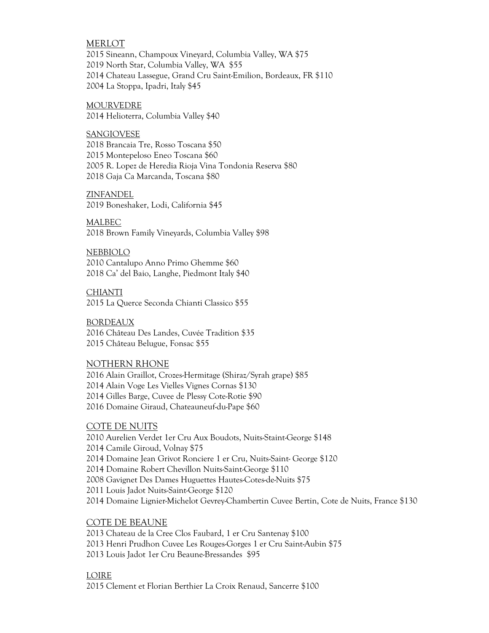### MERLOT

2015 Sineann, Champoux Vineyard, Columbia Valley, WA \$75 2019 North Star, Columbia Valley, WA \$55 2014 Chateau Lassegue, Grand Cru Saint-Emilion, Bordeaux, FR \$110 2004 La Stoppa, Ipadri, Italy \$45

MOURVEDRE 2014 Helioterra, Columbia Valley \$40

SANGIOVESE 2018 Brancaia Tre, Rosso Toscana \$50 2015 Montepeloso Eneo Toscana \$60 2005 R. Lopez de Heredia Rioja Vina Tondonia Reserva \$80 2018 Gaja Ca Marcanda, Toscana \$80

ZINFANDEL 2019 Boneshaker, Lodi, California \$45

MALBEC 2018 Brown Family Vineyards, Columbia Valley \$98

NEBBIOLO 2010 Cantalupo Anno Primo Ghemme \$60 2018 Ca' del Baio, Langhe, Piedmont Italy \$40

**CHIANTI** 2015 La Querce Seconda Chianti Classico \$55

BORDEAUX 2016 Château Des Landes, Cuvée Tradition \$35 2015 Château Belugue, Fonsac \$55

### NOTHERN RHONE

2016 Alain Graillot, Crozes-Hermitage (Shiraz/Syrah grape) \$85 2014 Alain Voge Les Vielles Vignes Cornas \$130 2014 Gilles Barge, Cuvee de Plessy Cote-Rotie \$90 2016 Domaine Giraud, Chateauneuf-du-Pape \$60

### COTE DE NUITS

2010 Aurelien Verdet 1er Cru Aux Boudots, Nuits-Staint-George \$148 2014 Camile Giroud, Volnay \$75 2014 Domaine Jean Grivot Ronciere 1 er Cru, Nuits-Saint- George \$120 2014 Domaine Robert Chevillon Nuits-Saint-George \$110 2008 Gavignet Des Dames Huguettes Hautes-Cotes-de-Nuits \$75 2011 Louis Jadot Nuits-Saint-George \$120 2014 Domaine Lignier-Michelot Gevrey-Chambertin Cuvee Bertin, Cote de Nuits, France \$130

COTE DE BEAUNE

2013 Chateau de la Cree Clos Faubard, 1 er Cru Santenay \$100 2013 Henri Prudhon Cuvee Les Rouges-Gorges 1 er Cru Saint-Aubin \$75 2013 Louis Jadot 1er Cru Beaune-Bressandes \$95

### LOIRE

2015 Clement et Florian Berthier La Croix Renaud, Sancerre \$100